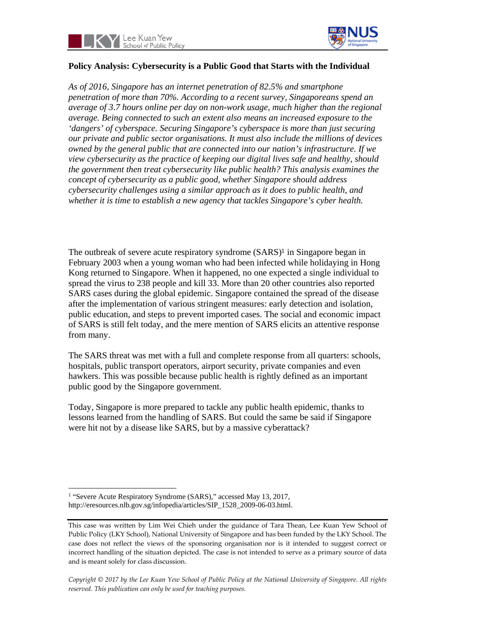



# **Policy Analysis: Cybersecurity is a Public Good that Starts with the Individual**

*As of 2016, Singapore has an internet penetration of 82.5% and smartphone penetration of more than 70%. According to a recent survey, Singaporeans spend an average of 3.7 hours online per day on non-work usage, much higher than the regional average. Being connected to such an extent also means an increased exposure to the 'dangers' of cyberspace. Securing Singapore's cyberspace is more than just securing our private and public sector organisations. It must also include the millions of devices owned by the general public that are connected into our nation's infrastructure. If we view cybersecurity as the practice of keeping our digital lives safe and healthy, should the government then treat cybersecurity like public health? This analysis examines the concept of cybersecurity as a public good, whether Singapore should address cybersecurity challenges using a similar approach as it does to public health, and whether it is time to establish a new agency that tackles Singapore's cyber health.* 

The outbreak of severe acute respiratory syndrome (SARS)<sup>1</sup> in Singapore began in February 2003 when a young woman who had been infected while holidaying in Hong Kong returned to Singapore. When it happened, no one expected a single individual to spread the virus to 238 people and kill 33. More than 20 other countries also reported SARS cases during the global epidemic. Singapore contained the spread of the disease after the implementation of various stringent measures: early detection and isolation, public education, and steps to prevent imported cases. The social and economic impact of SARS is still felt today, and the mere mention of SARS elicits an attentive response from many.

The SARS threat was met with a full and complete response from all quarters: schools, hospitals, public transport operators, airport security, private companies and even hawkers. This was possible because public health is rightly defined as an important public good by the Singapore government.

Today, Singapore is more prepared to tackle any public health epidemic, thanks to lessons learned from the handling of SARS. But could the same be said if Singapore were hit not by a disease like SARS, but by a massive cyberattack?

<sup>&</sup>lt;sup>1</sup> "Severe Acute Respiratory Syndrome (SARS)," accessed May 13, 2017, http://eresources.nlb.gov.sg/infopedia/articles/SIP\_1528\_2009-06-03.html.

This case was written by Lim Wei Chieh under the guidance of Tara Thean, Lee Kuan Yew School of Public Policy (LKY School), National University of Singapore and has been funded by the LKY School. The case does not reflect the views of the sponsoring organisation nor is it intended to suggest correct or incorrect handling of the situation depicted. The case is not intended to serve as a primary source of data and is meant solely for class discussion.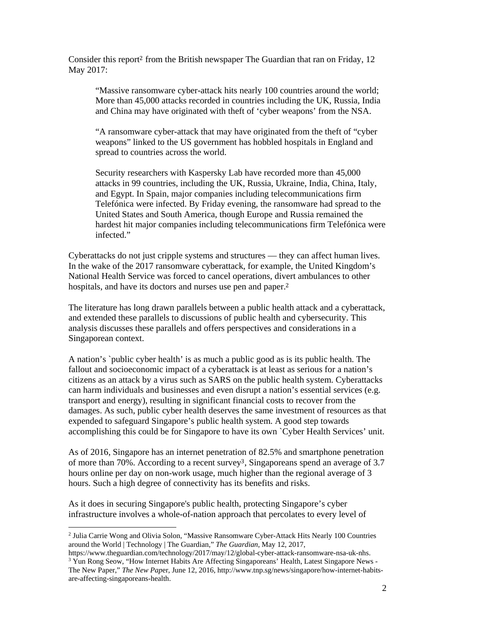Consider this report<sup>2</sup> from the British newspaper The Guardian that ran on Friday, 12 May 2017:

"Massive ransomware cyber-attack hits nearly 100 countries around the world; More than 45,000 attacks recorded in countries including the UK, Russia, India and China may have originated with theft of 'cyber weapons' from the NSA.

"A ransomware cyber-attack that may have originated from the theft of "cyber weapons" linked to the US government has hobbled hospitals in England and spread to countries across the world.

Security researchers with Kaspersky Lab have recorded more than 45,000 attacks in 99 countries, including the UK, Russia, Ukraine, India, China, Italy, and Egypt. In Spain, major companies including telecommunications firm Telefónica were infected. By Friday evening, the ransomware had spread to the United States and South America, though Europe and Russia remained the hardest hit major companies including telecommunications firm Telefónica were infected."

Cyberattacks do not just cripple systems and structures — they can affect human lives. In the wake of the 2017 ransomware cyberattack, for example, the United Kingdom's National Health Service was forced to cancel operations, divert ambulances to other hospitals, and have its doctors and nurses use pen and paper.<sup>2</sup>

The literature has long drawn parallels between a public health attack and a cyberattack, and extended these parallels to discussions of public health and cybersecurity. This analysis discusses these parallels and offers perspectives and considerations in a Singaporean context.

A nation's `public cyber health' is as much a public good as is its public health. The fallout and socioeconomic impact of a cyberattack is at least as serious for a nation's citizens as an attack by a virus such as SARS on the public health system. Cyberattacks can harm individuals and businesses and even disrupt a nation's essential services (e.g. transport and energy), resulting in significant financial costs to recover from the damages. As such, public cyber health deserves the same investment of resources as that expended to safeguard Singapore's public health system. A good step towards accomplishing this could be for Singapore to have its own `Cyber Health Services' unit.

As of 2016, Singapore has an internet penetration of 82.5% and smartphone penetration of more than 70%. According to a recent survey3, Singaporeans spend an average of 3.7 hours online per day on non-work usage, much higher than the regional average of 3 hours. Such a high degree of connectivity has its benefits and risks.

As it does in securing Singapore's public health, protecting Singapore's cyber infrastructure involves a whole-of-nation approach that percolates to every level of

<sup>2</sup> Julia Carrie Wong and Olivia Solon, "Massive Ransomware Cyber-Attack Hits Nearly 100 Countries around the World | Technology | The Guardian," *The Guardian*, May 12, 2017,

https://www.theguardian.com/technology/2017/may/12/global-cyber-attack-ransomware-nsa-uk-nhs. <sup>3</sup> Yun Rong Seow, "How Internet Habits Are Affecting Singaporeans' Health, Latest Singapore News -The New Paper," *The New Pap*er, June 12, 2016, http://www.tnp.sg/news/singapore/how-internet-habitsare-affecting-singaporeans-health.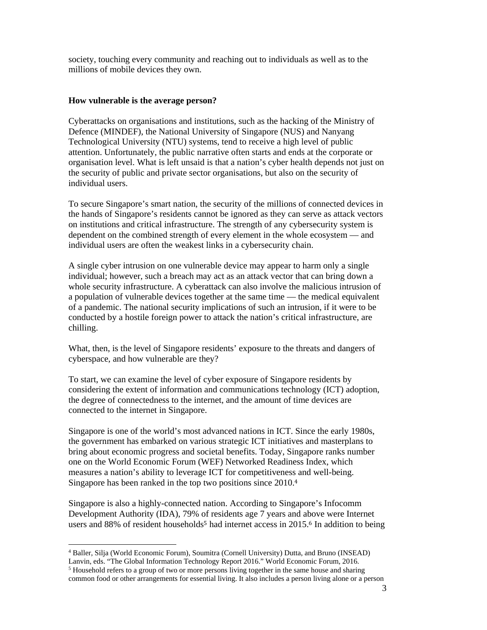society, touching every community and reaching out to individuals as well as to the millions of mobile devices they own.

### **How vulnerable is the average person?**

Cyberattacks on organisations and institutions, such as the hacking of the Ministry of Defence (MINDEF), the National University of Singapore (NUS) and Nanyang Technological University (NTU) systems, tend to receive a high level of public attention. Unfortunately, the public narrative often starts and ends at the corporate or organisation level. What is left unsaid is that a nation's cyber health depends not just on the security of public and private sector organisations, but also on the security of individual users.

To secure Singapore's smart nation, the security of the millions of connected devices in the hands of Singapore's residents cannot be ignored as they can serve as attack vectors on institutions and critical infrastructure. The strength of any cybersecurity system is dependent on the combined strength of every element in the whole ecosystem — and individual users are often the weakest links in a cybersecurity chain.

A single cyber intrusion on one vulnerable device may appear to harm only a single individual; however, such a breach may act as an attack vector that can bring down a whole security infrastructure. A cyberattack can also involve the malicious intrusion of a population of vulnerable devices together at the same time — the medical equivalent of a pandemic. The national security implications of such an intrusion, if it were to be conducted by a hostile foreign power to attack the nation's critical infrastructure, are chilling.

What, then, is the level of Singapore residents' exposure to the threats and dangers of cyberspace, and how vulnerable are they?

To start, we can examine the level of cyber exposure of Singapore residents by considering the extent of information and communications technology (ICT) adoption, the degree of connectedness to the internet, and the amount of time devices are connected to the internet in Singapore.

Singapore is one of the world's most advanced nations in ICT. Since the early 1980s, the government has embarked on various strategic ICT initiatives and masterplans to bring about economic progress and societal benefits. Today, Singapore ranks number one on the World Economic Forum (WEF) Networked Readiness Index, which measures a nation's ability to leverage ICT for competitiveness and well-being. Singapore has been ranked in the top two positions since 2010.<sup>4</sup>

Singapore is also a highly-connected nation. According to Singapore's Infocomm Development Authority (IDA), 79% of residents age 7 years and above were Internet users and 88% of resident households<sup>5</sup> had internet access in 2015.<sup>6</sup> In addition to being

 4 Baller, Silja (World Economic Forum), Soumitra (Cornell University) Dutta, and Bruno (INSEAD)

Lanvin, eds. "The Global Information Technology Report 2016." World Economic Forum, 2016.

<sup>&</sup>lt;sup>5</sup> Household refers to a group of two or more persons living together in the same house and sharing common food or other arrangements for essential living. It also includes a person living alone or a person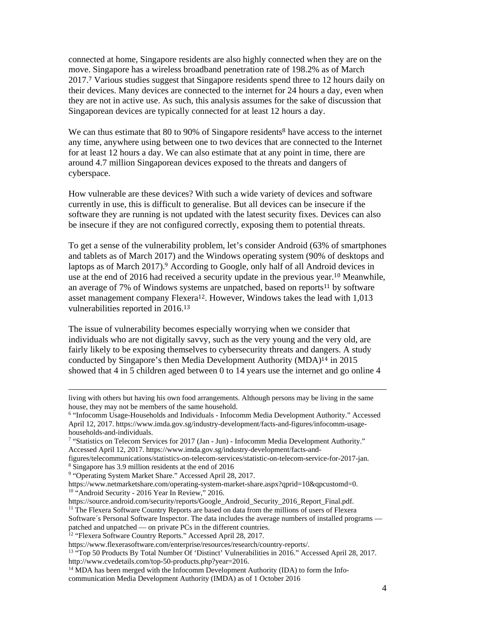connected at home, Singapore residents are also highly connected when they are on the move. Singapore has a wireless broadband penetration rate of 198.2% as of March 2017.7 Various studies suggest that Singapore residents spend three to 12 hours daily on their devices. Many devices are connected to the internet for 24 hours a day, even when they are not in active use. As such, this analysis assumes for the sake of discussion that Singaporean devices are typically connected for at least 12 hours a day.

We can thus estimate that 80 to 90% of Singapore residents<sup>8</sup> have access to the internet any time, anywhere using between one to two devices that are connected to the Internet for at least 12 hours a day. We can also estimate that at any point in time, there are around 4.7 million Singaporean devices exposed to the threats and dangers of cyberspace.

How vulnerable are these devices? With such a wide variety of devices and software currently in use, this is difficult to generalise. But all devices can be insecure if the software they are running is not updated with the latest security fixes. Devices can also be insecure if they are not configured correctly, exposing them to potential threats.

To get a sense of the vulnerability problem, let's consider Android (63% of smartphones and tablets as of March 2017) and the Windows operating system (90% of desktops and laptops as of March 2017).9 According to Google, only half of all Android devices in use at the end of 2016 had received a security update in the previous year.10 Meanwhile, an average of 7% of Windows systems are unpatched, based on reports<sup>11</sup> by software asset management company Flexera12. However, Windows takes the lead with 1,013 vulnerabilities reported in 2016.<sup>13</sup>

The issue of vulnerability becomes especially worrying when we consider that individuals who are not digitally savvy, such as the very young and the very old, are fairly likely to be exposing themselves to cybersecurity threats and dangers. A study conducted by Singapore's then Media Development Authority (MDA)14 in 2015 showed that 4 in 5 children aged between 0 to 14 years use the internet and go online 4

<u> 1989 - Andrea Santa Andrea Andrea Andrea Andrea Andrea Andrea Andrea Andrea Andrea Andrea Andrea Andrea Andr</u>

living with others but having his own food arrangements. Although persons may be living in the same house, they may not be members of the same household.

<sup>6</sup> "Infocomm Usage-Households and Individuals - Infocomm Media Development Authority." Accessed April 12, 2017. https://www.imda.gov.sg/industry-development/facts-and-figures/infocomm-usagehouseholds-and-individuals.

<sup>7</sup> "Statistics on Telecom Services for 2017 (Jan - Jun) - Infocomm Media Development Authority." Accessed April 12, 2017. https://www.imda.gov.sg/industry-development/facts-and-

figures/telecommunications/statistics-on-telecom-services/statistic-on-telecom-service-for-2017-jan. 8 Singapore has 3.9 million residents at the end of 2016

<sup>&</sup>lt;sup>9</sup> "Operating System Market Share." Accessed April 28, 2017.

https://www.netmarketshare.com/operating-system-market-share.aspx?qprid=10&qpcustomd=0. <sup>10</sup> "Android Security - 2016 Year In Review," 2016.

https://source.android.com/security/reports/Google\_Android\_Security\_2016\_Report\_Final.pdf.

<sup>&</sup>lt;sup>11</sup> The Flexera Software Country Reports are based on data from the millions of users of Flexera

Software´s Personal Software Inspector. The data includes the average numbers of installed programs patched and unpatched — on private PCs in the different countries.

<sup>&</sup>lt;sup>12</sup> "Flexera Software Country Reports." Accessed April 28, 2017.

https://www.flexerasoftware.com/enterprise/resources/research/country-reports/. 13 "Top 50 Products By Total Number Of 'Distinct' Vulnerabilities in 2016." Accessed April 28, 2017.

http://www.cvedetails.com/top-50-products.php?year=2016.

<sup>&</sup>lt;sup>14</sup> MDA has been merged with the Infocomm Development Authority (IDA) to form the Infocommunication Media Development Authority (IMDA) as of 1 October 2016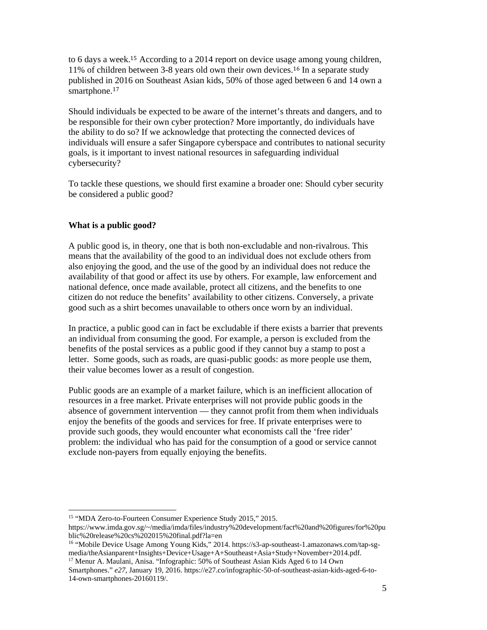to 6 days a week.15 According to a 2014 report on device usage among young children, 11% of children between 3-8 years old own their own devices.16 In a separate study published in 2016 on Southeast Asian kids, 50% of those aged between 6 and 14 own a smartphone.<sup>17</sup>

Should individuals be expected to be aware of the internet's threats and dangers, and to be responsible for their own cyber protection? More importantly, do individuals have the ability to do so? If we acknowledge that protecting the connected devices of individuals will ensure a safer Singapore cyberspace and contributes to national security goals, is it important to invest national resources in safeguarding individual cybersecurity?

To tackle these questions, we should first examine a broader one: Should cyber security be considered a public good?

## **What is a public good?**

A public good is, in theory, one that is both non-excludable and non-rivalrous. This means that the availability of the good to an individual does not exclude others from also enjoying the good, and the use of the good by an individual does not reduce the availability of that good or affect its use by others. For example, law enforcement and national defence, once made available, protect all citizens, and the benefits to one citizen do not reduce the benefits' availability to other citizens. Conversely, a private good such as a shirt becomes unavailable to others once worn by an individual.

In practice, a public good can in fact be excludable if there exists a barrier that prevents an individual from consuming the good. For example, a person is excluded from the benefits of the postal services as a public good if they cannot buy a stamp to post a letter. Some goods, such as roads, are quasi-public goods: as more people use them, their value becomes lower as a result of congestion.

Public goods are an example of a market failure, which is an inefficient allocation of resources in a free market. Private enterprises will not provide public goods in the absence of government intervention — they cannot profit from them when individuals enjoy the benefits of the goods and services for free. If private enterprises were to provide such goods, they would encounter what economists call the 'free rider' problem: the individual who has paid for the consumption of a good or service cannot exclude non-payers from equally enjoying the benefits.

<sup>15 &</sup>quot;MDA Zero-to-Fourteen Consumer Experience Study 2015," 2015.

https://www.imda.gov.sg/~/media/imda/files/industry%20development/fact%20and%20figures/for%20pu blic%20release%20cs%202015%20final.pdf?la=en

<sup>16 &</sup>quot;Mobile Device Usage Among Young Kids," 2014. https://s3-ap-southeast-1.amazonaws.com/tap-sgmedia/theAsianparent+Insights+Device+Usage+A+Southeast+Asia+Study+November+2014.pdf. <sup>17</sup> Menur A. Maulani, Anisa. "Infographic: 50% of Southeast Asian Kids Aged 6 to 14 Own

Smartphones." *e27*, January 19, 2016. https://e27.co/infographic-50-of-southeast-asian-kids-aged-6-to-14-own-smartphones-20160119/.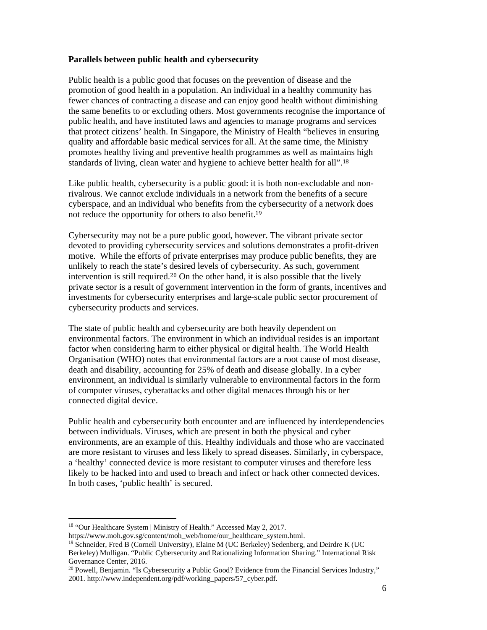### **Parallels between public health and cybersecurity**

Public health is a public good that focuses on the prevention of disease and the promotion of good health in a population. An individual in a healthy community has fewer chances of contracting a disease and can enjoy good health without diminishing the same benefits to or excluding others. Most governments recognise the importance of public health, and have instituted laws and agencies to manage programs and services that protect citizens' health. In Singapore, the Ministry of Health "believes in ensuring quality and affordable basic medical services for all. At the same time, the Ministry promotes healthy living and preventive health programmes as well as maintains high standards of living, clean water and hygiene to achieve better health for all".<sup>18</sup>

Like public health, cybersecurity is a public good: it is both non-excludable and nonrivalrous. We cannot exclude individuals in a network from the benefits of a secure cyberspace, and an individual who benefits from the cybersecurity of a network does not reduce the opportunity for others to also benefit.<sup>19</sup>

Cybersecurity may not be a pure public good, however. The vibrant private sector devoted to providing cybersecurity services and solutions demonstrates a profit-driven motive. While the efforts of private enterprises may produce public benefits, they are unlikely to reach the state's desired levels of cybersecurity. As such, government intervention is still required.20 On the other hand, it is also possible that the lively private sector is a result of government intervention in the form of grants, incentives and investments for cybersecurity enterprises and large-scale public sector procurement of cybersecurity products and services.

The state of public health and cybersecurity are both heavily dependent on environmental factors. The environment in which an individual resides is an important factor when considering harm to either physical or digital health. The World Health Organisation (WHO) notes that environmental factors are a root cause of most disease, death and disability, accounting for 25% of death and disease globally. In a cyber environment, an individual is similarly vulnerable to environmental factors in the form of computer viruses, cyberattacks and other digital menaces through his or her connected digital device.

Public health and cybersecurity both encounter and are influenced by interdependencies between individuals. Viruses, which are present in both the physical and cyber environments, are an example of this. Healthy individuals and those who are vaccinated are more resistant to viruses and less likely to spread diseases. Similarly, in cyberspace, a 'healthy' connected device is more resistant to computer viruses and therefore less likely to be hacked into and used to breach and infect or hack other connected devices. In both cases, 'public health' is secured.

<sup>&</sup>lt;sup>18</sup> "Our Healthcare System | Ministry of Health." Accessed May 2, 2017.

https://www.moh.gov.sg/content/moh\_web/home/our\_healthcare\_system.html.

<sup>&</sup>lt;sup>19</sup> Schneider, Fred B (Cornell University), Elaine M (UC Berkeley) Sedenberg, and Deirdre K (UC Berkeley) Mulligan. "Public Cybersecurity and Rationalizing Information Sharing." International Risk Governance Center, 2016.

 $20$  Powell, Benjamin. "Is Cybersecurity a Public Good? Evidence from the Financial Services Industry," 2001. http://www.independent.org/pdf/working\_papers/57\_cyber.pdf.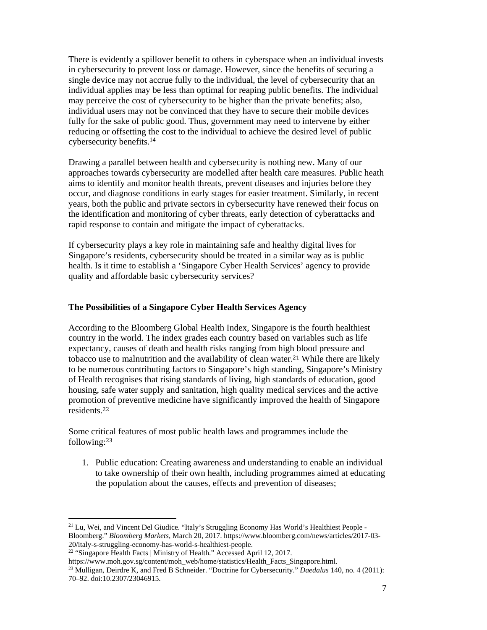There is evidently a spillover benefit to others in cyberspace when an individual invests in cybersecurity to prevent loss or damage. However, since the benefits of securing a single device may not accrue fully to the individual, the level of cybersecurity that an individual applies may be less than optimal for reaping public benefits. The individual may perceive the cost of cybersecurity to be higher than the private benefits; also, individual users may not be convinced that they have to secure their mobile devices fully for the sake of public good. Thus, government may need to intervene by either reducing or offsetting the cost to the individual to achieve the desired level of public cybersecurity benefits.14

Drawing a parallel between health and cybersecurity is nothing new. Many of our approaches towards cybersecurity are modelled after health care measures. Public heath aims to identify and monitor health threats, prevent diseases and injuries before they occur, and diagnose conditions in early stages for easier treatment. Similarly, in recent years, both the public and private sectors in cybersecurity have renewed their focus on the identification and monitoring of cyber threats, early detection of cyberattacks and rapid response to contain and mitigate the impact of cyberattacks.

If cybersecurity plays a key role in maintaining safe and healthy digital lives for Singapore's residents, cybersecurity should be treated in a similar way as is public health. Is it time to establish a 'Singapore Cyber Health Services' agency to provide quality and affordable basic cybersecurity services?

#### **The Possibilities of a Singapore Cyber Health Services Agency**

According to the Bloomberg Global Health Index, Singapore is the fourth healthiest country in the world. The index grades each country based on variables such as life expectancy, causes of death and health risks ranging from high blood pressure and tobacco use to malnutrition and the availability of clean water.<sup>21</sup> While there are likely to be numerous contributing factors to Singapore's high standing, Singapore's Ministry of Health recognises that rising standards of living, high standards of education, good housing, safe water supply and sanitation, high quality medical services and the active promotion of preventive medicine have significantly improved the health of Singapore residents.<sup>22</sup>

Some critical features of most public health laws and programmes include the following:<sup>23</sup>

1. Public education: Creating awareness and understanding to enable an individual to take ownership of their own health, including programmes aimed at educating the population about the causes, effects and prevention of diseases;

<sup>&</sup>lt;sup>21</sup> Lu, Wei, and Vincent Del Giudice. "Italy's Struggling Economy Has World's Healthiest People -Bloomberg." *Bloomberg Markets*, March 20, 2017. https://www.bloomberg.com/news/articles/2017-03- 20/italy-s-struggling-economy-has-world-s-healthiest-people.

<sup>&</sup>lt;sup>22</sup> "Singapore Health Facts | Ministry of Health." Accessed April 12, 2017.

https://www.moh.gov.sg/content/moh\_web/home/statistics/Health\_Facts\_Singapore.html.

<sup>23</sup> Mulligan, Deirdre K, and Fred B Schneider. "Doctrine for Cybersecurity." *Daedalus* 140, no. 4 (2011): 70–92. doi:10.2307/23046915.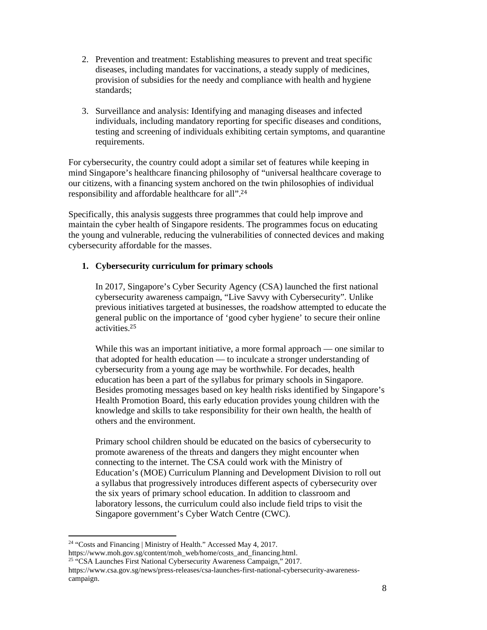- 2. Prevention and treatment: Establishing measures to prevent and treat specific diseases, including mandates for vaccinations, a steady supply of medicines, provision of subsidies for the needy and compliance with health and hygiene standards;
- 3. Surveillance and analysis: Identifying and managing diseases and infected individuals, including mandatory reporting for specific diseases and conditions, testing and screening of individuals exhibiting certain symptoms, and quarantine requirements.

For cybersecurity, the country could adopt a similar set of features while keeping in mind Singapore's healthcare financing philosophy of "universal healthcare coverage to our citizens, with a financing system anchored on the twin philosophies of individual responsibility and affordable healthcare for all".<sup>24</sup>

Specifically, this analysis suggests three programmes that could help improve and maintain the cyber health of Singapore residents. The programmes focus on educating the young and vulnerable, reducing the vulnerabilities of connected devices and making cybersecurity affordable for the masses.

# **1. Cybersecurity curriculum for primary schools**

In 2017, Singapore's Cyber Security Agency (CSA) launched the first national cybersecurity awareness campaign, "Live Savvy with Cybersecurity". Unlike previous initiatives targeted at businesses, the roadshow attempted to educate the general public on the importance of 'good cyber hygiene' to secure their online activities.<sup>25</sup>

While this was an important initiative, a more formal approach — one similar to that adopted for health education — to inculcate a stronger understanding of cybersecurity from a young age may be worthwhile. For decades, health education has been a part of the syllabus for primary schools in Singapore. Besides promoting messages based on key health risks identified by Singapore's Health Promotion Board, this early education provides young children with the knowledge and skills to take responsibility for their own health, the health of others and the environment.

Primary school children should be educated on the basics of cybersecurity to promote awareness of the threats and dangers they might encounter when connecting to the internet. The CSA could work with the Ministry of Education's (MOE) Curriculum Planning and Development Division to roll out a syllabus that progressively introduces different aspects of cybersecurity over the six years of primary school education. In addition to classroom and laboratory lessons, the curriculum could also include field trips to visit the Singapore government's Cyber Watch Centre (CWC).

<sup>&</sup>lt;sup>24</sup> "Costs and Financing | Ministry of Health." Accessed May 4, 2017.

https://www.moh.gov.sg/content/moh\_web/home/costs\_and\_financing.html.

<sup>&</sup>lt;sup>25 "</sup>CSA Launches First National Cybersecurity Awareness Campaign," 2017.

https://www.csa.gov.sg/news/press-releases/csa-launches-first-national-cybersecurity-awarenesscampaign.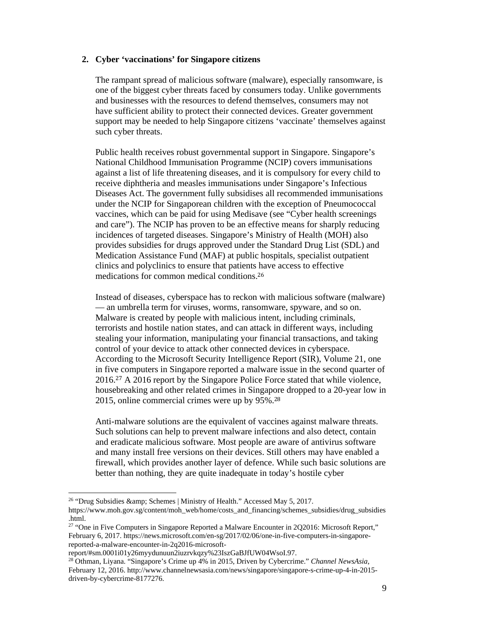#### **2. Cyber 'vaccinations' for Singapore citizens**

The rampant spread of malicious software (malware), especially ransomware, is one of the biggest cyber threats faced by consumers today. Unlike governments and businesses with the resources to defend themselves, consumers may not have sufficient ability to protect their connected devices. Greater government support may be needed to help Singapore citizens 'vaccinate' themselves against such cyber threats.

Public health receives robust governmental support in Singapore. Singapore's National Childhood Immunisation Programme (NCIP) covers immunisations against a list of life threatening diseases, and it is compulsory for every child to receive diphtheria and measles immunisations under Singapore's Infectious Diseases Act. The government fully subsidises all recommended immunisations under the NCIP for Singaporean children with the exception of Pneumococcal vaccines, which can be paid for using Medisave (see "Cyber health screenings and care"). The NCIP has proven to be an effective means for sharply reducing incidences of targeted diseases. Singapore's Ministry of Health (MOH) also provides subsidies for drugs approved under the Standard Drug List (SDL) and Medication Assistance Fund (MAF) at public hospitals, specialist outpatient clinics and polyclinics to ensure that patients have access to effective medications for common medical conditions.<sup>26</sup>

Instead of diseases, cyberspace has to reckon with malicious software (malware) — an umbrella term for viruses, worms, ransomware, spyware, and so on. Malware is created by people with malicious intent, including criminals, terrorists and hostile nation states, and can attack in different ways, including stealing your information, manipulating your financial transactions, and taking control of your device to attack other connected devices in cyberspace. According to the Microsoft Security Intelligence Report (SIR), Volume 21, one in five computers in Singapore reported a malware issue in the second quarter of 2016.27 A 2016 report by the Singapore Police Force stated that while violence, housebreaking and other related crimes in Singapore dropped to a 20-year low in 2015, online commercial crimes were up by 95%.<sup>28</sup>

Anti-malware solutions are the equivalent of vaccines against malware threats. Such solutions can help to prevent malware infections and also detect, contain and eradicate malicious software. Most people are aware of antivirus software and many install free versions on their devices. Still others may have enabled a firewall, which provides another layer of defence. While such basic solutions are better than nothing, they are quite inadequate in today's hostile cyber

<sup>&</sup>lt;sup>26</sup> "Drug Subsidies & amp; Schemes | Ministry of Health." Accessed May 5, 2017.

https://www.moh.gov.sg/content/moh\_web/home/costs\_and\_financing/schemes\_subsidies/drug\_subsidies .html.

<sup>&</sup>lt;sup>27</sup> "One in Five Computers in Singapore Reported a Malware Encounter in 2Q2016: Microsoft Report," February 6, 2017. https://news.microsoft.com/en-sg/2017/02/06/one-in-five-computers-in-singaporereported-a-malware-encounter-in-2q2016-microsoft-

report/#sm.0001i01y26myydunuun2iuzrvkqzy%23IszGaBJfUW04WsoI.97.

<sup>28</sup> Othman, Liyana. "Singapore's Crime up 4% in 2015, Driven by Cybercrime." *Channel NewsAsia*, February 12, 2016. http://www.channelnewsasia.com/news/singapore/singapore-s-crime-up-4-in-2015 driven-by-cybercrime-8177276.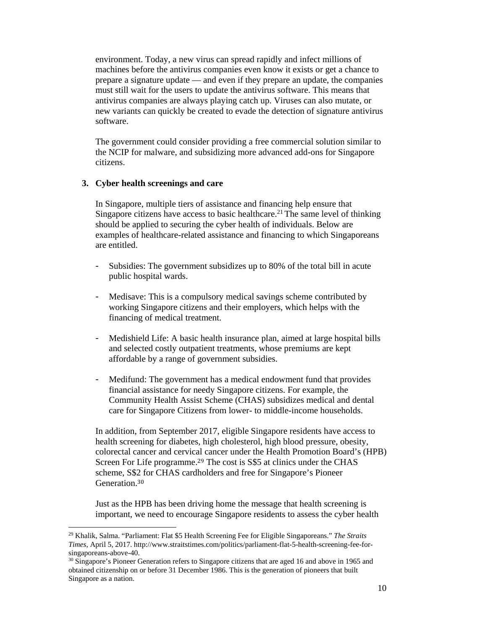environment. Today, a new virus can spread rapidly and infect millions of machines before the antivirus companies even know it exists or get a chance to prepare a signature update — and even if they prepare an update, the companies must still wait for the users to update the antivirus software. This means that antivirus companies are always playing catch up. Viruses can also mutate, or new variants can quickly be created to evade the detection of signature antivirus software.

The government could consider providing a free commercial solution similar to the NCIP for malware, and subsidizing more advanced add-ons for Singapore citizens.

## **3. Cyber health screenings and care**

 

In Singapore, multiple tiers of assistance and financing help ensure that Singapore citizens have access to basic healthcare.<sup>21</sup> The same level of thinking should be applied to securing the cyber health of individuals. Below are examples of healthcare-related assistance and financing to which Singaporeans are entitled.

- Subsidies: The government subsidizes up to 80% of the total bill in acute public hospital wards.
- Medisave: This is a compulsory medical savings scheme contributed by working Singapore citizens and their employers, which helps with the financing of medical treatment.
- Medishield Life: A basic health insurance plan, aimed at large hospital bills and selected costly outpatient treatments, whose premiums are kept affordable by a range of government subsidies.
- Medifund: The government has a medical endowment fund that provides financial assistance for needy Singapore citizens. For example, the Community Health Assist Scheme (CHAS) subsidizes medical and dental care for Singapore Citizens from lower- to middle-income households.

In addition, from September 2017, eligible Singapore residents have access to health screening for diabetes, high cholesterol, high blood pressure, obesity, colorectal cancer and cervical cancer under the Health Promotion Board's (HPB) Screen For Life programme.<sup>29</sup> The cost is S\$5 at clinics under the CHAS scheme, S\$2 for CHAS cardholders and free for Singapore's Pioneer Generation.<sup>30</sup>

Just as the HPB has been driving home the message that health screening is important, we need to encourage Singapore residents to assess the cyber health

<sup>29</sup> Khalik, Salma. "Parliament: Flat \$5 Health Screening Fee for Eligible Singaporeans." *The Straits Times*, April 5, 2017. http://www.straitstimes.com/politics/parliament-flat-5-health-screening-fee-forsingaporeans-above-40.

<sup>&</sup>lt;sup>30</sup> Singapore's Pioneer Generation refers to Singapore citizens that are aged 16 and above in 1965 and obtained citizenship on or before 31 December 1986. This is the generation of pioneers that built Singapore as a nation.